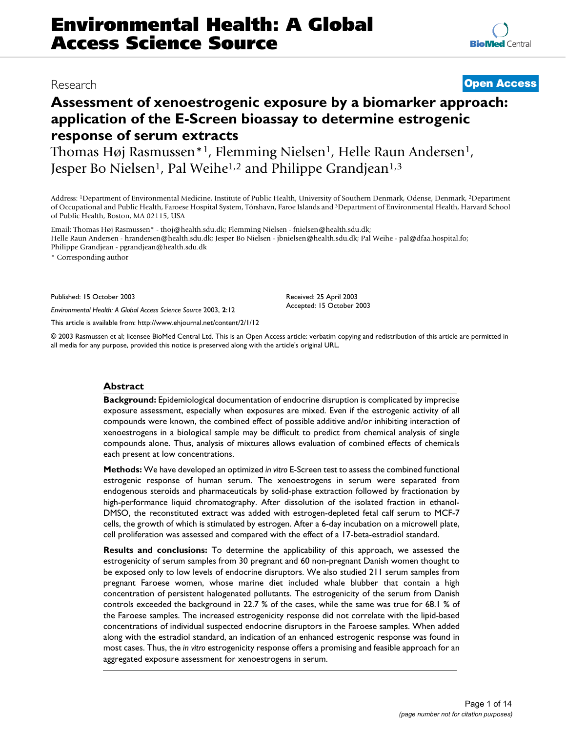# Research **[Open Access](http://www.biomedcentral.com/info/about/charter/)**

# **Assessment of xenoestrogenic exposure by a biomarker approach: application of the E-Screen bioassay to determine estrogenic response of serum extracts**

Thomas Høj Rasmussen\*<sup>1</sup>, Flemming Nielsen<sup>1</sup>, Helle Raun Andersen<sup>1</sup>, Jesper Bo Nielsen<sup>1</sup>, Pal Weihe<sup>1,2</sup> and Philippe Grandjean<sup>1,3</sup>

Address: 1Department of Environmental Medicine, Institute of Public Health, University of Southern Denmark, Odense, Denmark, 2Department of Occupational and Public Health, Faroese Hospital System, Tórshavn, Faroe Islands and 3Department of Environmental Health, Harvard School of Public Health, Boston, MA 02115, USA

Email: Thomas Høj Rasmussen\* - thoj@health.sdu.dk; Flemming Nielsen - fnielsen@health.sdu.dk; Helle Raun Andersen - hrandersen@health.sdu.dk; Jesper Bo Nielsen - jbnielsen@health.sdu.dk; Pal Weihe - pal@dfaa.hospital.fo; Philippe Grandjean - pgrandjean@health.sdu.dk

\* Corresponding author

Published: 15 October 2003

*Environmental Health: A Global Access Science Source* 2003, **2**:12

[This article is available from: http://www.ehjournal.net/content/2/1/12](http://www.ehjournal.net/content/2/1/12)

© 2003 Rasmussen et al; licensee BioMed Central Ltd. This is an Open Access article: verbatim copying and redistribution of this article are permitted in all media for any purpose, provided this notice is preserved along with the article's original URL.

Received: 25 April 2003 Accepted: 15 October 2003

### **Abstract**

**Background:** Epidemiological documentation of endocrine disruption is complicated by imprecise exposure assessment, especially when exposures are mixed. Even if the estrogenic activity of all compounds were known, the combined effect of possible additive and/or inhibiting interaction of xenoestrogens in a biological sample may be difficult to predict from chemical analysis of single compounds alone. Thus, analysis of mixtures allows evaluation of combined effects of chemicals each present at low concentrations.

**Methods:** We have developed an optimized *in vitro* E-Screen test to assess the combined functional estrogenic response of human serum. The xenoestrogens in serum were separated from endogenous steroids and pharmaceuticals by solid-phase extraction followed by fractionation by high-performance liquid chromatography. After dissolution of the isolated fraction in ethanol-DMSO, the reconstituted extract was added with estrogen-depleted fetal calf serum to MCF-7 cells, the growth of which is stimulated by estrogen. After a 6-day incubation on a microwell plate, cell proliferation was assessed and compared with the effect of a 17-beta-estradiol standard.

**Results and conclusions:** To determine the applicability of this approach, we assessed the estrogenicity of serum samples from 30 pregnant and 60 non-pregnant Danish women thought to be exposed only to low levels of endocrine disruptors. We also studied 211 serum samples from pregnant Faroese women, whose marine diet included whale blubber that contain a high concentration of persistent halogenated pollutants. The estrogenicity of the serum from Danish controls exceeded the background in 22.7 % of the cases, while the same was true for 68.1 % of the Faroese samples. The increased estrogenicity response did not correlate with the lipid-based concentrations of individual suspected endocrine disruptors in the Faroese samples. When added along with the estradiol standard, an indication of an enhanced estrogenic response was found in most cases. Thus, the *in vitro* estrogenicity response offers a promising and feasible approach for an aggregated exposure assessment for xenoestrogens in serum.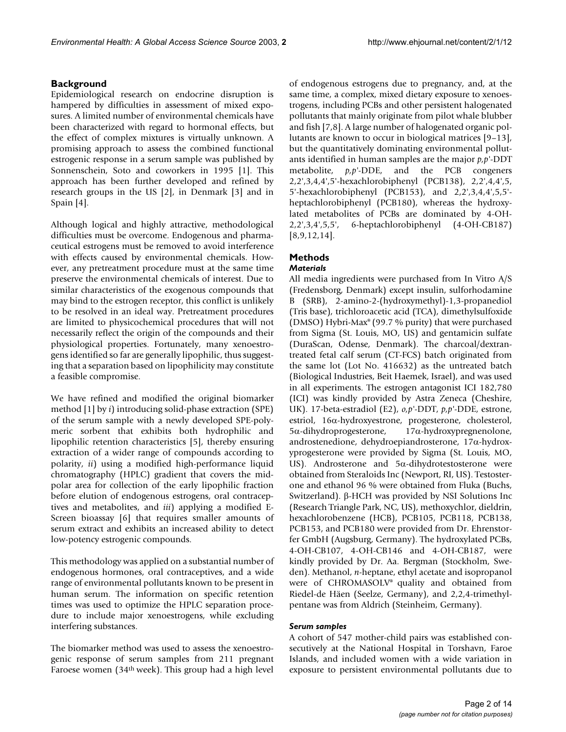### **Background**

Epidemiological research on endocrine disruption is hampered by difficulties in assessment of mixed exposures. A limited number of environmental chemicals have been characterized with regard to hormonal effects, but the effect of complex mixtures is virtually unknown. A promising approach to assess the combined functional estrogenic response in a serum sample was published by Sonnenschein, Soto and coworkers in 1995 [1]. This approach has been further developed and refined by research groups in the US [2], in Denmark [3] and in Spain [4].

Although logical and highly attractive, methodological difficulties must be overcome. Endogenous and pharmaceutical estrogens must be removed to avoid interference with effects caused by environmental chemicals. However, any pretreatment procedure must at the same time preserve the environmental chemicals of interest. Due to similar characteristics of the exogenous compounds that may bind to the estrogen receptor, this conflict is unlikely to be resolved in an ideal way. Pretreatment procedures are limited to physicochemical procedures that will not necessarily reflect the origin of the compounds and their physiological properties. Fortunately, many xenoestrogens identified so far are generally lipophilic, thus suggesting that a separation based on lipophilicity may constitute a feasible compromise.

We have refined and modified the original biomarker method [1] by *i*) introducing solid-phase extraction (SPE) of the serum sample with a newly developed SPE-polymeric sorbent that exhibits both hydrophilic and lipophilic retention characteristics [5], thereby ensuring extraction of a wider range of compounds according to polarity, *ii*) using a modified high-performance liquid chromatography (HPLC) gradient that covers the midpolar area for collection of the early lipophilic fraction before elution of endogenous estrogens, oral contraceptives and metabolites, and *iii*) applying a modified E-Screen bioassay [6] that requires smaller amounts of serum extract and exhibits an increased ability to detect low-potency estrogenic compounds.

This methodology was applied on a substantial number of endogenous hormones, oral contraceptives, and a wide range of environmental pollutants known to be present in human serum. The information on specific retention times was used to optimize the HPLC separation procedure to include major xenoestrogens, while excluding interfering substances.

The biomarker method was used to assess the xenoestrogenic response of serum samples from 211 pregnant Faroese women (34th week). This group had a high level

of endogenous estrogens due to pregnancy, and, at the same time, a complex, mixed dietary exposure to xenoestrogens, including PCBs and other persistent halogenated pollutants that mainly originate from pilot whale blubber and fish [7,8]. A large number of halogenated organic pollutants are known to occur in biological matrices [9–13], but the quantitatively dominating environmental pollutants identified in human samples are the major *p,p'*-DDT metabolite, *p,p'*-DDE, and the PCB congeners 2,2',3,4,4',5'-hexachlorobiphenyl (PCB138), 2,2',4,4',5, 5'-hexachlorobiphenyl (PCB153), and 2,2',3,4,4',5,5' heptachlorobiphenyl (PCB180), whereas the hydroxylated metabolites of PCBs are dominated by 4-OH-2,2',3,4',5,5', 6-heptachlorobiphenyl (4-OH-CB187) [8,9,12,14].

# **Methods**

### *Materials*

All media ingredients were purchased from In Vitro A/S (Fredensborg, Denmark) except insulin, sulforhodamine B (SRB), 2-amino-2-(hydroxymethyl)-1,3-propanediol (Tris base), trichloroacetic acid (TCA), dimethylsulfoxide (DMSO) Hybri-Max® (99.7 % purity) that were purchased from Sigma (St. Louis, MO, US) and gentamicin sulfate (DuraScan, Odense, Denmark). The charcoal/dextrantreated fetal calf serum (CT-FCS) batch originated from the same lot (Lot No. 416632) as the untreated batch (Biological Industries, Beit Haemek, Israel), and was used in all experiments. The estrogen antagonist ICI 182,780 (ICI) was kindly provided by Astra Zeneca (Cheshire, UK). 17-beta-estradiol (E2), *o,p'*-DDT, *p,p'*-DDE, estrone, estriol, 16α-hydroxyestrone, progesterone, cholesterol, 5α-dihydroprogesterone, 17α-hydroxypregnenolone, androstenedione, dehydroepiandrosterone, 17α-hydroxyprogesterone were provided by Sigma (St. Louis, MO, US). Androsterone and 5α-dihydrotestosterone were obtained from Steraloids Inc (Newport, RI, US). Testosterone and ethanol 96 % were obtained from Fluka (Buchs, Switzerland). β-HCH was provided by NSI Solutions Inc (Research Triangle Park, NC, US), methoxychlor, dieldrin, hexachlorobenzene (HCB), PCB105, PCB118, PCB138, PCB153, and PCB180 were provided from Dr. Ehrenstorfer GmbH (Augsburg, Germany). The hydroxylated PCBs, 4-OH-CB107, 4-OH-CB146 and 4-OH-CB187, were kindly provided by Dr. Aa. Bergman (Stockholm, Sweden). Methanol, *n*-heptane, ethyl acetate and isopropanol were of CHROMASOLV® quality and obtained from Riedel-de Häen (Seelze, Germany), and 2,2,4-trimethylpentane was from Aldrich (Steinheim, Germany).

### *Serum samples*

A cohort of 547 mother-child pairs was established consecutively at the National Hospital in Torshavn, Faroe Islands, and included women with a wide variation in exposure to persistent environmental pollutants due to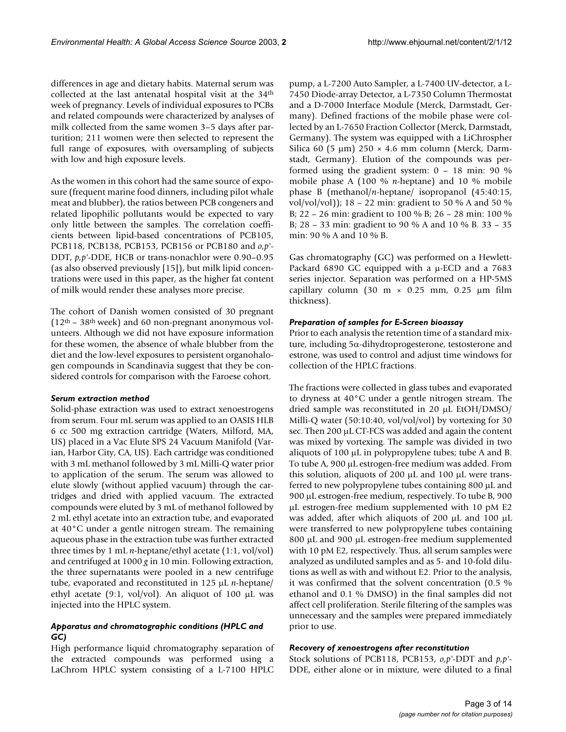differences in age and dietary habits. Maternal serum was collected at the last antenatal hospital visit at the 34th week of pregnancy. Levels of individual exposures to PCBs and related compounds were characterized by analyses of milk collected from the same women 3–5 days after parturition; 211 women were then selected to represent the full range of exposures, with oversampling of subjects with low and high exposure levels.

As the women in this cohort had the same source of exposure (frequent marine food dinners, including pilot whale meat and blubber), the ratios between PCB congeners and related lipophilic pollutants would be expected to vary only little between the samples. The correlation coefficients between lipid-based concentrations of PCB105, PCB118, PCB138, PCB153, PCB156 or PCB180 and *o,p'*- DDT, *p,p'*-DDE, HCB or trans-nonachlor were 0.90–0.95 (as also observed previously [15]), but milk lipid concentrations were used in this paper, as the higher fat content of milk would render these analyses more precise.

The cohort of Danish women consisted of 30 pregnant  $(12<sup>th</sup> – 38<sup>th</sup> week)$  and 60 non-pregnant anonymous volunteers. Although we did not have exposure information for these women, the absence of whale blubber from the diet and the low-level exposures to persistent organohalogen compounds in Scandinavia suggest that they be considered controls for comparison with the Faroese cohort.

#### *Serum extraction method*

Solid-phase extraction was used to extract xenoestrogens from serum. Four mL serum was applied to an OASIS HLB 6 cc 500 mg extraction cartridge (Waters, Milford, MA, US) placed in a Vac Elute SPS 24 Vacuum Manifold (Varian, Harbor City, CA, US). Each cartridge was conditioned with 3 mL methanol followed by 3 mL Milli-Q water prior to application of the serum. The serum was allowed to elute slowly (without applied vacuum) through the cartridges and dried with applied vacuum. The extracted compounds were eluted by 3 mL of methanol followed by 2 mL ethyl acetate into an extraction tube, and evaporated at 40°C under a gentle nitrogen stream. The remaining aqueous phase in the extraction tube was further extracted three times by 1 mL *n*-heptane/ethyl acetate (1:1, vol/vol) and centrifuged at 1000 *g* in 10 min. Following extraction, the three supernatants were pooled in a new centrifuge tube, evaporated and reconstituted in 125 µL *n*-heptane/ ethyl acetate (9:1, vol/vol). An aliquot of 100 µL was injected into the HPLC system.

### *Apparatus and chromatographic conditions (HPLC and GC)*

High performance liquid chromatography separation of the extracted compounds was performed using a LaChrom HPLC system consisting of a L-7100 HPLC pump, a L-7200 Auto Sampler, a L-7400 UV-detector, a L-7450 Diode-array Detector, a L-7350 Column Thermostat and a D-7000 Interface Module (Merck, Darmstadt, Germany). Defined fractions of the mobile phase were collected by an L-7650 Fraction Collector (Merck, Darmstadt, Germany). The system was equipped with a LiChrospher Silica 60 (5  $\mu$ m) 250 × 4.6 mm column (Merck, Darmstadt, Germany). Elution of the compounds was performed using the gradient system: 0 – 18 min: 90 % mobile phase A (100 % *n*-heptane) and 10 % mobile phase B (methanol/*n*-heptane/ isopropanol (45:40:15, vol/vol/vol)); 18 – 22 min: gradient to 50 % A and 50 % B; 22 – 26 min: gradient to 100 % B; 26 – 28 min: 100 % B; 28 – 33 min: gradient to 90 % A and 10 % B. 33 – 35 min: 90 % A and 10 % B.

Gas chromatography (GC) was performed on a Hewlett-Packard 6890 GC equipped with a  $\mu$ -ECD and a 7683 series injector. Separation was performed on a HP-5MS capillary column (30 m  $\times$  0.25 mm, 0.25 µm film thickness).

### *Preparation of samples for E-Screen bioassay*

Prior to each analysis the retention time of a standard mixture, including 5α-dihydroprogesterone, testosterone and estrone, was used to control and adjust time windows for collection of the HPLC fractions.

The fractions were collected in glass tubes and evaporated to dryness at 40°C under a gentle nitrogen stream. The dried sample was reconstituted in 20 µL EtOH/DMSO/ Milli-Q water (50:10:40, vol/vol/vol) by vortexing for 30 sec. Then 200 µL CT-FCS was added and again the content was mixed by vortexing. The sample was divided in two aliquots of 100  $\mu$ L in polypropylene tubes; tube A and B. To tube A, 900 µL estrogen-free medium was added. From this solution, aliquots of 200  $\mu$ L and 100  $\mu$ L were transferred to new polypropylene tubes containing 800 µL and 900 µL estrogen-free medium, respectively. To tube B, 900 µL estrogen-free medium supplemented with 10 pM E2 was added, after which aliquots of 200 µL and 100 µL were transferred to new polypropylene tubes containing 800 µL and 900 µL estrogen-free medium supplemented with 10 pM E2, respectively. Thus, all serum samples were analyzed as undiluted samples and as 5- and 10-fold dilutions as well as with and without E2. Prior to the analysis, it was confirmed that the solvent concentration (0.5 % ethanol and 0.1 % DMSO) in the final samples did not affect cell proliferation. Sterile filtering of the samples was unnecessary and the samples were prepared immediately prior to use.

#### *Recovery of xenoestrogens after reconstitution*

Stock solutions of PCB118, PCB153, *o,p'*-DDT and *p,p'*- DDE, either alone or in mixture, were diluted to a final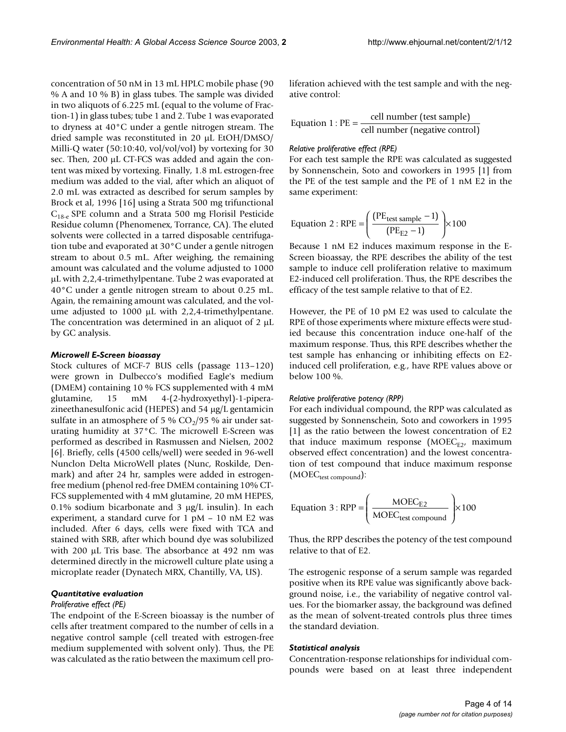concentration of 50 nM in 13 mL HPLC mobile phase (90 % A and 10 % B) in glass tubes. The sample was divided in two aliquots of 6.225 mL (equal to the volume of Fraction-1) in glass tubes; tube 1 and 2. Tube 1 was evaporated to dryness at 40°C under a gentle nitrogen stream. The dried sample was reconstituted in 20 µL EtOH/DMSO/ Milli-Q water (50:10:40, vol/vol/vol) by vortexing for 30 sec. Then, 200 µL CT-FCS was added and again the content was mixed by vortexing. Finally, 1.8 mL estrogen-free medium was added to the vial, after which an aliquot of 2.0 mL was extracted as described for serum samples by Brock et al, 1996 [16] using a Strata 500 mg trifunctional  $C_{18-e}$  SPE column and a Strata 500 mg Florisil Pesticide Residue column (Phenomenex, Torrance, CA). The eluted solvents were collected in a tarred disposable centrifugation tube and evaporated at 30°C under a gentle nitrogen stream to about 0.5 mL. After weighing, the remaining amount was calculated and the volume adjusted to 1000 µL with 2,2,4-trimethylpentane. Tube 2 was evaporated at 40°C under a gentle nitrogen stream to about 0.25 mL. Again, the remaining amount was calculated, and the volume adjusted to 1000  $\mu$ L with 2,2,4-trimethylpentane. The concentration was determined in an aliquot of  $2 \mu L$ by GC analysis.

#### *Microwell E-Screen bioassay*

Stock cultures of MCF-7 BUS cells (passage 113–120) were grown in Dulbecco's modified Eagle's medium (DMEM) containing 10 % FCS supplemented with 4 mM glutamine, 15 mM 4-(2-hydroxyethyl)-1-piperazineethanesulfonic acid (HEPES) and 54 µg/L gentamicin sulfate in an atmosphere of 5 %  $CO<sub>2</sub>/95$  % air under saturating humidity at 37°C. The microwell E-Screen was performed as described in Rasmussen and Nielsen, 2002 [6]. Briefly, cells (4500 cells/well) were seeded in 96-well Nunclon Delta MicroWell plates (Nunc, Roskilde, Denmark) and after 24 hr, samples were added in estrogenfree medium (phenol red-free DMEM containing 10% CT-FCS supplemented with 4 mM glutamine, 20 mM HEPES, 0.1% sodium bicarbonate and 3 µg/L insulin). In each experiment, a standard curve for 1 pM – 10 nM E2 was included. After 6 days, cells were fixed with TCA and stained with SRB, after which bound dye was solubilized with 200 µL Tris base. The absorbance at 492 nm was determined directly in the microwell culture plate using a microplate reader (Dynatech MRX, Chantilly, VA, US).

### *Quantitative evaluation*

#### *Proliferative effect (PE)*

The endpoint of the E-Screen bioassay is the number of cells after treatment compared to the number of cells in a negative control sample (cell treated with estrogen-free medium supplemented with solvent only). Thus, the PE was calculated as the ratio between the maximum cell proliferation achieved with the test sample and with the negative control:

Equation 1 : PE = 
$$
\frac{\text{cell number (test sample)}}{\text{cell number (negative control)}}
$$

#### *Relative proliferative effect (RPE)*

For each test sample the RPE was calculated as suggested by Sonnenschein, Soto and coworkers in 1995 [1] from the PE of the test sample and the PE of 1 nM E2 in the same experiment:

Equation 2 : RPE = 
$$
\left(\frac{\text{(PE}_{\text{test sample}} - 1)}{\text{(PE}_{\text{E2}} - 1)}\right) \times 100
$$

Because 1 nM E2 induces maximum response in the E-Screen bioassay, the RPE describes the ability of the test sample to induce cell proliferation relative to maximum E2-induced cell proliferation. Thus, the RPE describes the efficacy of the test sample relative to that of E2.

However, the PE of 10 pM E2 was used to calculate the RPE of those experiments where mixture effects were studied because this concentration induce one-half of the maximum response. Thus, this RPE describes whether the test sample has enhancing or inhibiting effects on E2 induced cell proliferation, e.g., have RPE values above or below 100 %.

#### *Relative proliferative potency (RPP)*

For each individual compound, the RPP was calculated as suggested by Sonnenschein, Soto and coworkers in 1995 [1] as the ratio between the lowest concentration of E2 that induce maximum response (MOEC<sub>E2</sub>, maximum observed effect concentration) and the lowest concentration of test compound that induce maximum response  $(MOEC_{test\ compound})$ :

Equation 3 : RPP = 
$$
\left(\frac{\text{MOEC}_{\text{E2}}}{\text{MOEC}_{\text{test compound}}}\right) \times 100
$$

Thus, the RPP describes the potency of the test compound relative to that of E2.

The estrogenic response of a serum sample was regarded positive when its RPE value was significantly above background noise, i.e., the variability of negative control values. For the biomarker assay, the background was defined as the mean of solvent-treated controls plus three times the standard deviation.

#### *Statistical analysis*

Concentration-response relationships for individual compounds were based on at least three independent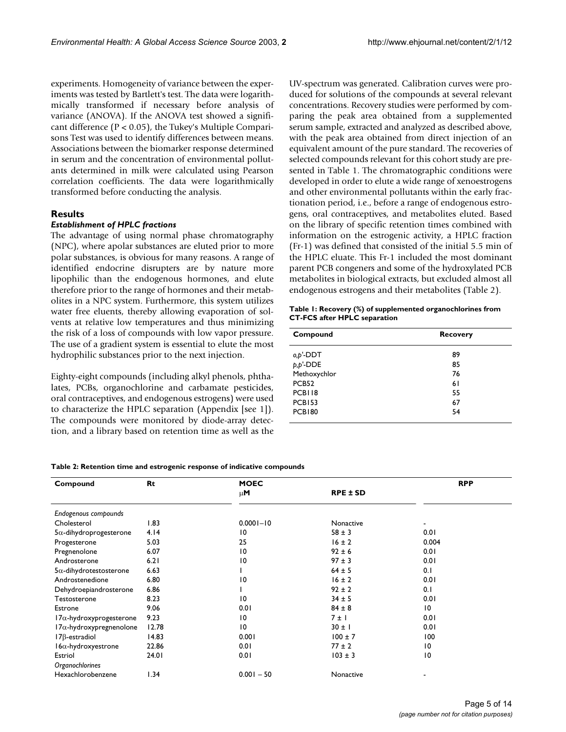experiments. Homogeneity of variance between the experiments was tested by Bartlett's test. The data were logarithmically transformed if necessary before analysis of variance (ANOVA). If the ANOVA test showed a significant difference ( $P < 0.05$ ), the Tukey's Multiple Comparisons Test was used to identify differences between means. Associations between the biomarker response determined in serum and the concentration of environmental pollutants determined in milk were calculated using Pearson correlation coefficients. The data were logarithmically transformed before conducting the analysis.

### **Results**

### *Establishment of HPLC fractions*

The advantage of using normal phase chromatography (NPC), where apolar substances are eluted prior to more polar substances, is obvious for many reasons. A range of identified endocrine disrupters are by nature more lipophilic than the endogenous hormones, and elute therefore prior to the range of hormones and their metabolites in a NPC system. Furthermore, this system utilizes water free eluents, thereby allowing evaporation of solvents at relative low temperatures and thus minimizing the risk of a loss of compounds with low vapor pressure. The use of a gradient system is essential to elute the most hydrophilic substances prior to the next injection.

Eighty-eight compounds (including alkyl phenols, phthalates, PCBs, organochlorine and carbamate pesticides, oral contraceptives, and endogenous estrogens) were used to characterize the HPLC separation (Appendix [see 1]). The compounds were monitored by diode-array detection, and a library based on retention time as well as the UV-spectrum was generated. Calibration curves were produced for solutions of the compounds at several relevant concentrations. Recovery studies were performed by comparing the peak area obtained from a supplemented serum sample, extracted and analyzed as described above, with the peak area obtained from direct injection of an equivalent amount of the pure standard. The recoveries of selected compounds relevant for this cohort study are presented in Table [1.](#page-4-0) The chromatographic conditions were developed in order to elute a wide range of xenoestrogens and other environmental pollutants within the early fractionation period, i.e., before a range of endogenous estrogens, oral contraceptives, and metabolites eluted. Based on the library of specific retention times combined with information on the estrogenic activity, a HPLC fraction (Fr-1) was defined that consisted of the initial 5.5 min of the HPLC eluate. This Fr-1 included the most dominant parent PCB congeners and some of the hydroxylated PCB metabolites in biological extracts, but excluded almost all endogenous estrogens and their metabolites (Table [2\)](#page-4-1).

<span id="page-4-0"></span>**Table 1: Recovery (%) of supplemented organochlorines from CT-FCS after HPLC separation**

| Compound      | <b>Recovery</b> |
|---------------|-----------------|
| o,p'-DDT      | 89              |
| $p, p'$ -DDE  | 85              |
| Methoxychlor  | 76              |
| <b>PCB52</b>  | 61              |
| PCBI18        | 55              |
| <b>PCB153</b> | 67              |
| <b>PCB180</b> | 54              |
|               |                 |

#### <span id="page-4-1"></span>**Table 2: Retention time and estrogenic response of indicative compounds**

| Compound                        | Rt    | <b>MOEC</b>     |                 | <b>RPP</b>      |
|---------------------------------|-------|-----------------|-----------------|-----------------|
|                                 |       | $\mu$ M         | <b>RPE ± SD</b> |                 |
| Endogenous compounds            |       |                 |                 |                 |
| Cholesterol                     | 1.83  | $0.0001 - 10$   | Nonactive       | ٠               |
| $5\alpha$ -dihydroprogesterone  | 4.14  | 10              | $58 \pm 3$      | 0.01            |
| Progesterone                    | 5.03  | 25              | $16 \pm 2$      | 0.004           |
| Pregnenolone                    | 6.07  | 10              | $92 \pm 6$      | 0.01            |
| Androsterone                    | 6.21  | 10              | $97 \pm 3$      | 0.01            |
| $5\alpha$ -dihydrotestosterone  | 6.63  |                 | $64 \pm 5$      | 0.1             |
| Androstenedione                 | 6.80  | 10              | $16 \pm 2$      | 0.01            |
| Dehydroepiandrosterone          | 6.86  |                 | $92 \pm 2$      | 0.1             |
| Testosterone                    | 8.23  | $\overline{10}$ | $34 \pm 5$      | 0.01            |
| Estrone                         | 9.06  | 0.01            | $84 \pm 8$      | $\overline{10}$ |
| 17α-hydroxyprogesterone         | 9.23  | $\overline{10}$ | 7±1             | 0.01            |
| $17\alpha$ -hydroxypregnenolone | 12.78 | $\overline{10}$ | $30 \pm 1$      | 0.01            |
| $17\beta$ -estradiol            | 14.83 | 0.001           | $100 \pm 7$     | 100             |
| $16\alpha$ -hydroxyestrone      | 22.86 | 0.01            | $77 \pm 2$      | $\overline{10}$ |
| Estriol                         | 24.01 | 0.01            | $103 \pm 3$     | $\overline{0}$  |
| Organochlorines                 |       |                 |                 |                 |
| Hexachlorobenzene               | 1.34  | $0.001 - 50$    | Nonactive       |                 |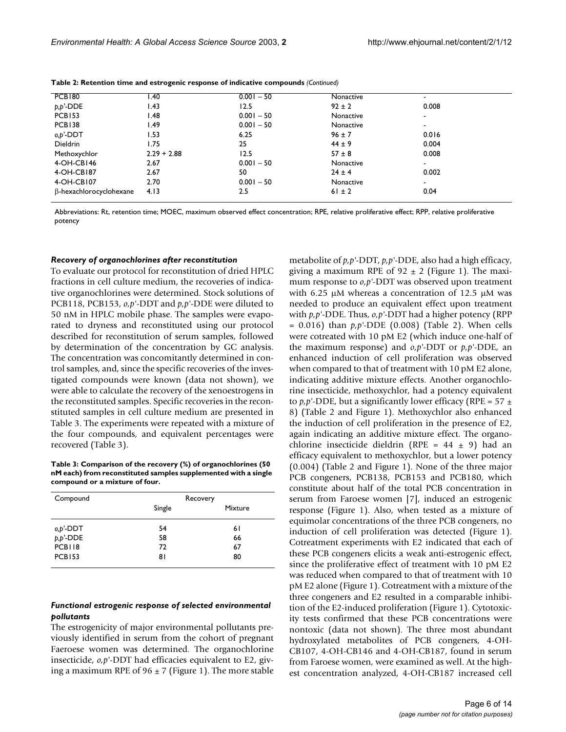| PCB180                         | 40. ا         | $0.001 - 50$ | Nonactive  | $\overline{\phantom{a}}$ |
|--------------------------------|---------------|--------------|------------|--------------------------|
| $p, p'$ -DDE                   | 1.43          | 12.5         | $92 \pm 2$ | 0.008                    |
| <b>PCB153</b>                  | l.48          | $0.001 - 50$ | Nonactive  | $\overline{\phantom{a}}$ |
| PCB138                         | l.49          | $0.001 - 50$ | Nonactive  | $\overline{\phantom{a}}$ |
| $o,b'$ -DDT                    | 1.53          | 6.25         | $96 \pm 7$ | 0.016                    |
| Dieldrin                       | I.75          | 25           | $44 \pm 9$ | 0.004                    |
| Methoxychlor                   | $2.29 + 2.88$ | 12.5         | $57 \pm 8$ | 0.008                    |
| 4-OH-CB146                     | 2.67          | $0.001 - 50$ | Nonactive  | ۰                        |
| 4-OH-CB187                     | 2.67          | 50           | $24 \pm 4$ | 0.002                    |
| 4-OH-CB107                     | 2.70          | $0.001 - 50$ | Nonactive  | $\blacksquare$           |
| $\beta$ -hexachlorocyclohexane | 4.13          | 2.5          | $61 \pm 2$ | 0.04                     |

**Table 2: Retention time and estrogenic response of indicative compounds** *(Continued)*

Abbreviations: Rt, retention time; MOEC, maximum observed effect concentration; RPE, relative proliferative effect; RPP, relative proliferative potency

#### *Recovery of organochlorines after reconstitution*

To evaluate our protocol for reconstitution of dried HPLC fractions in cell culture medium, the recoveries of indicative organochlorines were determined. Stock solutions of PCB118, PCB153, *o,p'*-DDT and *p,p'*-DDE were diluted to 50 nM in HPLC mobile phase. The samples were evaporated to dryness and reconstituted using our protocol described for reconstitution of serum samples, followed by determination of the concentration by GC analysis. The concentration was concomitantly determined in control samples, and, since the specific recoveries of the investigated compounds were known (data not shown), we were able to calculate the recovery of the xenoestrogens in the reconstituted samples. Specific recoveries in the reconstituted samples in cell culture medium are presented in Table [3](#page-5-0). The experiments were repeated with a mixture of the four compounds, and equivalent percentages were recovered (Table [3\)](#page-5-0).

<span id="page-5-0"></span>**Table 3: Comparison of the recovery (%) of organochlorines (50 nM each) from reconstituted samples supplemented with a single compound or a mixture of four.**

| Compound             | Recovery |         |  |
|----------------------|----------|---------|--|
|                      | Single   | Mixture |  |
|                      | 54       | 6 I     |  |
| o,p'-DDT<br>p,p'-DDE | 58       | 66      |  |
| PCBI18               | 72       | 67      |  |
| <b>PCB153</b>        | 81       | 80      |  |

#### *Functional estrogenic response of selected environmental pollutants*

The estrogenicity of major environmental pollutants previously identified in serum from the cohort of pregnant Faeroese women was determined. The organochlorine insecticide, *o,p'*-DDT had efficacies equivalent to E2, giving a maximum RPE of  $96 \pm 7$  (Figure 1). The more stable metabolite of *p,p'*-DDT, *p,p'*-DDE, also had a high efficacy, giving a maximum RPE of  $92 \pm 2$  (Figure 1). The maximum response to *o,p'*-DDT was observed upon treatment with 6.25 µM whereas a concentration of 12.5 µM was needed to produce an equivalent effect upon treatment with *p,p'*-DDE. Thus, *o,p'*-DDT had a higher potency (RPP = 0.016) than *p,p'*-DDE (0.008) (Table [2](#page-4-1)). When cells were cotreated with 10 pM E2 (which induce one-half of the maximum response) and *o,p'*-DDT or *p,p'*-DDE, an enhanced induction of cell proliferation was observed when compared to that of treatment with 10 pM E2 alone, indicating additive mixture effects. Another organochlorine insecticide, methoxychlor, had a potency equivalent to  $p, p'$ -DDE, but a significantly lower efficacy (RPE =  $57 \pm 10^{-10}$ 8) (Table [2](#page-4-1) and Figure 1). Methoxychlor also enhanced the induction of cell proliferation in the presence of E2, again indicating an additive mixture effect. The organochlorine insecticide dieldrin (RPE =  $44 \pm 9$ ) had an efficacy equivalent to methoxychlor, but a lower potency (0.004) (Table [2](#page-4-1) and Figure 1). None of the three major PCB congeners, PCB138, PCB153 and PCB180, which constitute about half of the total PCB concentration in serum from Faroese women [7], induced an estrogenic response (Figure 1). Also, when tested as a mixture of equimolar concentrations of the three PCB congeners, no induction of cell proliferation was detected (Figure 1). Cotreatment experiments with E2 indicated that each of these PCB congeners elicits a weak anti-estrogenic effect, since the proliferative effect of treatment with 10 pM E2 was reduced when compared to that of treatment with 10 pM E2 alone (Figure 1). Cotreatment with a mixture of the three congeners and E2 resulted in a comparable inhibition of the E2-induced proliferation (Figure 1). Cytotoxicity tests confirmed that these PCB concentrations were nontoxic (data not shown). The three most abundant hydroxylated metabolites of PCB congeners, 4-OH-CB107, 4-OH-CB146 and 4-OH-CB187, found in serum from Faroese women, were examined as well. At the highest concentration analyzed, 4-OH-CB187 increased cell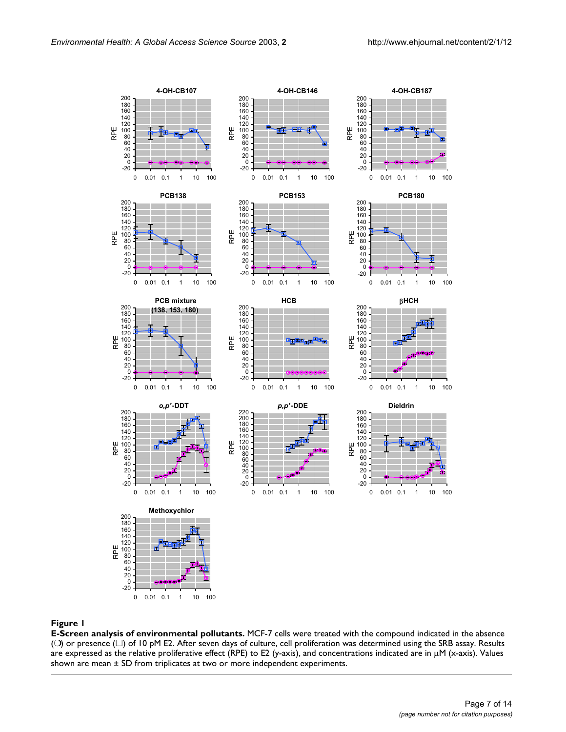

#### Figure 1

**E-Screen analysis of environmental pollutants.** MCF-7 cells were treated with the compound indicated in the absence ( $\circ$ ) or presence ( $\Box$ ) of 10 pM E2. After seven days of culture, cell proliferation was determined using the SRB assay. Results are expressed as the relative proliferative effect (RPE) to E2 (y-axis), and concentrations indicated are in  $\mu$ M (x-axis). Values shown are mean ± SD from triplicates at two or more independent experiments.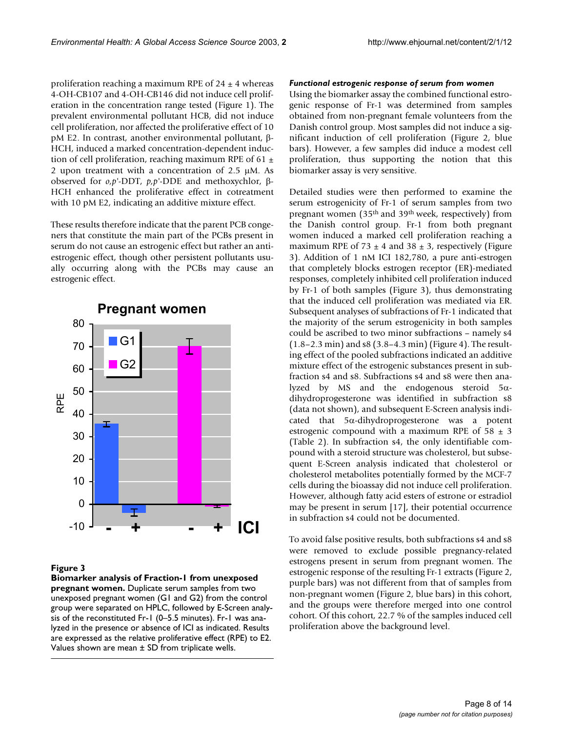proliferation reaching a maximum RPE of  $24 \pm 4$  whereas 4-OH-CB107 and 4-OH-CB146 did not induce cell proliferation in the concentration range tested (Figure 1). The prevalent environmental pollutant HCB, did not induce cell proliferation, nor affected the proliferative effect of 10 pM E2. In contrast, another environmental pollutant, β-HCH, induced a marked concentration-dependent induction of cell proliferation, reaching maximum RPE of 61  $\pm$ 2 upon treatment with a concentration of 2.5  $\mu$ M. As observed for *o,p'*-DDT, *p,p'*-DDE and methoxychlor, β-HCH enhanced the proliferative effect in cotreatment with 10 pM E2, indicating an additive mixture effect.

These results therefore indicate that the parent PCB congeners that constitute the main part of the PCBs present in serum do not cause an estrogenic effect but rather an antiestrogenic effect, though other persistent pollutants usually occurring along with the PCBs may cause an estrogenic effect.



### **Figure 3**

**Biomarker analysis of Fraction-1 from unexposed pregnant women.** Duplicate serum samples from two unexposed pregnant women (G1 and G2) from the control group were separated on HPLC, followed by E-Screen analysis of the reconstituted Fr-1 (0–5.5 minutes). Fr-1 was analyzed in the presence or absence of ICI as indicated. Results are expressed as the relative proliferative effect (RPE) to E2. Values shown are mean ± SD from triplicate wells.

#### *Functional estrogenic response of serum from women*

Using the biomarker assay the combined functional estrogenic response of Fr-1 was determined from samples obtained from non-pregnant female volunteers from the Danish control group. Most samples did not induce a significant induction of cell proliferation (Figure 2, blue bars). However, a few samples did induce a modest cell proliferation, thus supporting the notion that this biomarker assay is very sensitive.

Detailed studies were then performed to examine the serum estrogenicity of Fr-1 of serum samples from two pregnant women (35th and 39th week, respectively) from the Danish control group. Fr-1 from both pregnant women induced a marked cell proliferation reaching a maximum RPE of 73  $\pm$  4 and 38  $\pm$  3, respectively (Figure 3). Addition of 1 nM ICI 182,780, a pure anti-estrogen that completely blocks estrogen receptor (ER)-mediated responses, completely inhibited cell proliferation induced by Fr-1 of both samples (Figure 3), thus demonstrating that the induced cell proliferation was mediated via ER. Subsequent analyses of subfractions of Fr-1 indicated that the majority of the serum estrogenicity in both samples could be ascribed to two minor subfractions – namely s4 (1.8–2.3 min) and s8 (3.8–4.3 min) (Figure 4). The resulting effect of the pooled subfractions indicated an additive mixture effect of the estrogenic substances present in subfraction s4 and s8. Subfractions s4 and s8 were then analyzed by MS and the endogenous steroid 5αdihydroprogesterone was identified in subfraction s8 (data not shown), and subsequent E-Screen analysis indicated that 5α-dihydroprogesterone was a potent estrogenic compound with a maximum RPE of  $58 \pm 3$ (Table [2](#page-4-1)). In subfraction s4, the only identifiable compound with a steroid structure was cholesterol, but subsequent E-Screen analysis indicated that cholesterol or cholesterol metabolites potentially formed by the MCF-7 cells during the bioassay did not induce cell proliferation. However, although fatty acid esters of estrone or estradiol may be present in serum [17], their potential occurrence in subfraction s4 could not be documented.

To avoid false positive results, both subfractions s4 and s8 were removed to exclude possible pregnancy-related estrogens present in serum from pregnant women. The estrogenic response of the resulting Fr-1 extracts (Figure 2, purple bars) was not different from that of samples from non-pregnant women (Figure 2, blue bars) in this cohort, and the groups were therefore merged into one control cohort. Of this cohort, 22.7 % of the samples induced cell proliferation above the background level.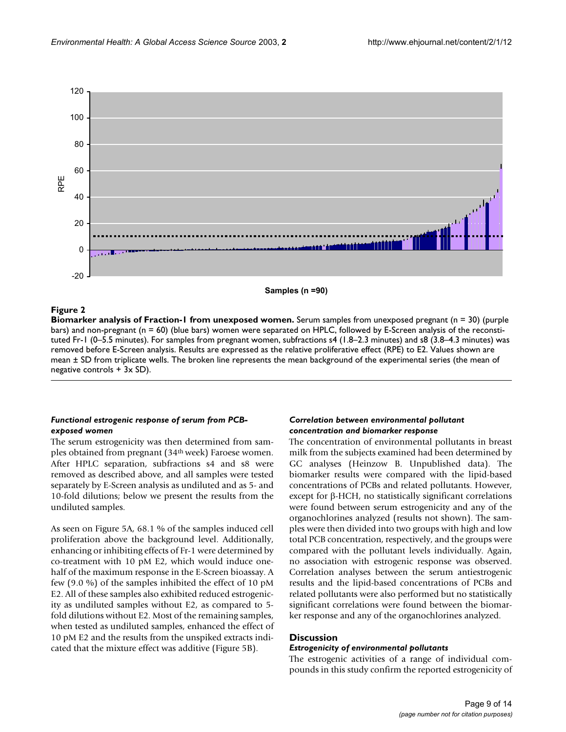

#### **Figure 2**

**Biomarker analysis of Fraction-1 from unexposed women.** Serum samples from unexposed pregnant (n = 30) (purple bars) and non-pregnant (n = 60) (blue bars) women were separated on HPLC, followed by E-Screen analysis of the reconstituted Fr-1 (0–5.5 minutes). For samples from pregnant women, subfractions s4 (1.8–2.3 minutes) and s8 (3.8–4.3 minutes) was removed before E-Screen analysis. Results are expressed as the relative proliferative effect (RPE) to E2. Values shown are mean ± SD from triplicate wells. The broken line represents the mean background of the experimental series (the mean of negative controls + 3x SD).

### *Functional estrogenic response of serum from PCBexposed women*

The serum estrogenicity was then determined from samples obtained from pregnant (34th week) Faroese women. After HPLC separation, subfractions s4 and s8 were removed as described above, and all samples were tested separately by E-Screen analysis as undiluted and as 5- and 10-fold dilutions; below we present the results from the undiluted samples.

As seen on Figure [5](#page-10-0)A, 68.1 % of the samples induced cell proliferation above the background level. Additionally, enhancing or inhibiting effects of Fr-1 were determined by co-treatment with 10 pM E2, which would induce onehalf of the maximum response in the E-Screen bioassay. A few (9.0 %) of the samples inhibited the effect of 10 pM E2. All of these samples also exhibited reduced estrogenicity as undiluted samples without E2, as compared to 5 fold dilutions without E2. Most of the remaining samples, when tested as undiluted samples, enhanced the effect of 10 pM E2 and the results from the unspiked extracts indicated that the mixture effect was additive (Figure [5](#page-10-0)B).

### *Correlation between environmental pollutant concentration and biomarker response*

The concentration of environmental pollutants in breast milk from the subjects examined had been determined by GC analyses (Heinzow B. Unpublished data). The biomarker results were compared with the lipid-based concentrations of PCBs and related pollutants. However, except for β-HCH, no statistically significant correlations were found between serum estrogenicity and any of the organochlorines analyzed (results not shown). The samples were then divided into two groups with high and low total PCB concentration, respectively, and the groups were compared with the pollutant levels individually. Again, no association with estrogenic response was observed. Correlation analyses between the serum antiestrogenic results and the lipid-based concentrations of PCBs and related pollutants were also performed but no statistically significant correlations were found between the biomarker response and any of the organochlorines analyzed.

### **Discussion**

#### *Estrogenicity of environmental pollutants*

The estrogenic activities of a range of individual compounds in this study confirm the reported estrogenicity of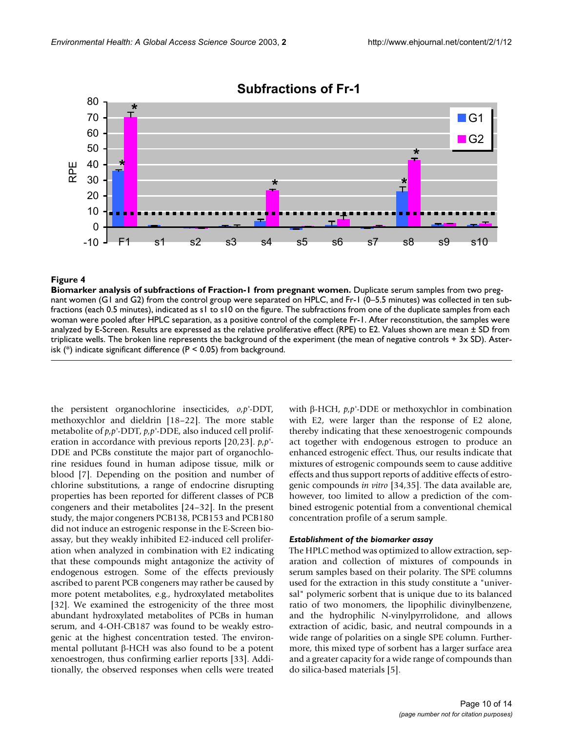

## Subfractions of Fr-1

### **Figure 4**

**Biomarker analysis of subfractions of Fraction-1 from pregnant women.** Duplicate serum samples from two pregnant women (G1 and G2) from the control group were separated on HPLC, and Fr-1 (0–5.5 minutes) was collected in ten subfractions (each 0.5 minutes), indicated as s1 to s10 on the figure. The subfractions from one of the duplicate samples from each woman were pooled after HPLC separation, as a positive control of the complete Fr-1. After reconstitution, the samples were analyzed by E-Screen. Results are expressed as the relative proliferative effect (RPE) to E2. Values shown are mean ± SD from triplicate wells. The broken line represents the background of the experiment (the mean of negative controls  $+ 3x$  SD). Asterisk  $(*)$  indicate significant difference ( $P < 0.05$ ) from background.

the persistent organochlorine insecticides, *o,p'*-DDT, methoxychlor and dieldrin [18–22]. The more stable metabolite of *p,p'*-DDT, *p,p'*-DDE, also induced cell proliferation in accordance with previous reports [20,23]. *p,p'*- DDE and PCBs constitute the major part of organochlorine residues found in human adipose tissue, milk or blood [7]. Depending on the position and number of chlorine substitutions, a range of endocrine disrupting properties has been reported for different classes of PCB congeners and their metabolites [24–32]. In the present study, the major congeners PCB138, PCB153 and PCB180 did not induce an estrogenic response in the E-Screen bioassay, but they weakly inhibited E2-induced cell proliferation when analyzed in combination with E2 indicating that these compounds might antagonize the activity of endogenous estrogen. Some of the effects previously ascribed to parent PCB congeners may rather be caused by more potent metabolites, e.g., hydroxylated metabolites [32]. We examined the estrogenicity of the three most abundant hydroxylated metabolites of PCBs in human serum, and 4-OH-CB187 was found to be weakly estrogenic at the highest concentration tested. The environmental pollutant β-HCH was also found to be a potent xenoestrogen, thus confirming earlier reports [33]. Additionally, the observed responses when cells were treated with β-HCH, *p,p'*-DDE or methoxychlor in combination with E2, were larger than the response of E2 alone, thereby indicating that these xenoestrogenic compounds act together with endogenous estrogen to produce an enhanced estrogenic effect. Thus, our results indicate that mixtures of estrogenic compounds seem to cause additive effects and thus support reports of additive effects of estrogenic compounds *in vitro* [34,35]. The data available are, however, too limited to allow a prediction of the combined estrogenic potential from a conventional chemical concentration profile of a serum sample.

#### *Establishment of the biomarker assay*

The HPLC method was optimized to allow extraction, separation and collection of mixtures of compounds in serum samples based on their polarity. The SPE columns used for the extraction in this study constitute a "universal" polymeric sorbent that is unique due to its balanced ratio of two monomers, the lipophilic divinylbenzene, and the hydrophilic N-vinylpyrrolidone, and allows extraction of acidic, basic, and neutral compounds in a wide range of polarities on a single SPE column. Furthermore, this mixed type of sorbent has a larger surface area and a greater capacity for a wide range of compounds than do silica-based materials [5].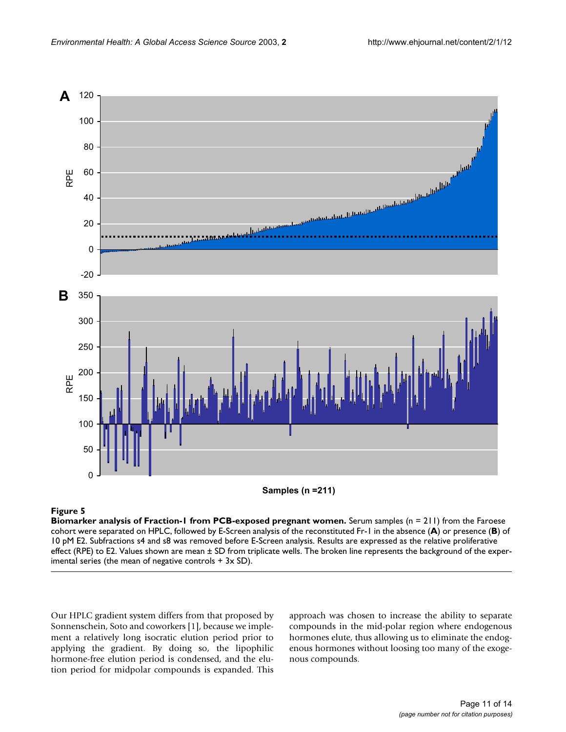<span id="page-10-0"></span>

### Samples (n =211)

### **Figure 5**

**Biomarker analysis of Fraction-1 from PCB-exposed pregnant women.** Serum samples (n = 211) from the Faroese cohort were separated on HPLC, followed by E-Screen analysis of the reconstituted Fr-1 in the absence (**A**) or presence (**B**) of 10 pM E2. Subfractions s4 and s8 was removed before E-Screen analysis. Results are expressed as the relative proliferative effect (RPE) to E2. Values shown are mean ± SD from triplicate wells. The broken line represents the background of the experimental series (the mean of negative controls  $+ 3x$  SD).

Our HPLC gradient system differs from that proposed by Sonnenschein, Soto and coworkers [1], because we implement a relatively long isocratic elution period prior to applying the gradient. By doing so, the lipophilic hormone-free elution period is condensed, and the elution period for midpolar compounds is expanded. This approach was chosen to increase the ability to separate compounds in the mid-polar region where endogenous hormones elute, thus allowing us to eliminate the endogenous hormones without loosing too many of the exogenous compounds.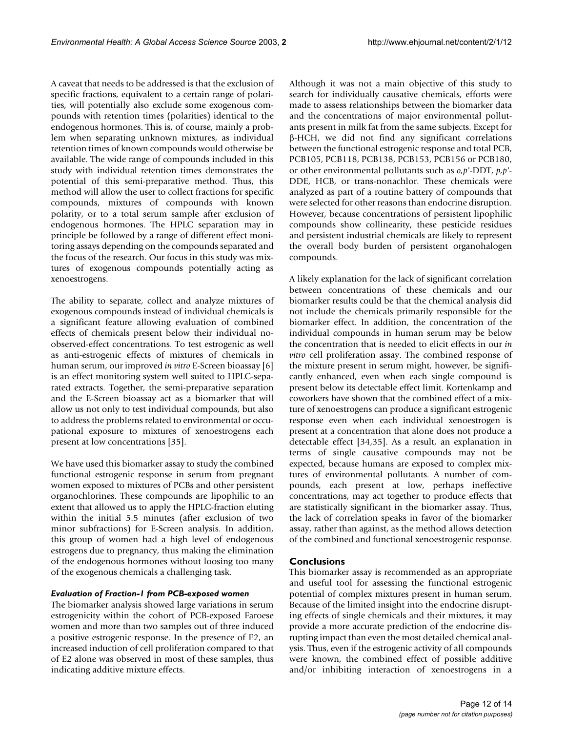A caveat that needs to be addressed is that the exclusion of specific fractions, equivalent to a certain range of polarities, will potentially also exclude some exogenous compounds with retention times (polarities) identical to the endogenous hormones. This is, of course, mainly a problem when separating unknown mixtures, as individual retention times of known compounds would otherwise be available. The wide range of compounds included in this study with individual retention times demonstrates the potential of this semi-preparative method. Thus, this method will allow the user to collect fractions for specific compounds, mixtures of compounds with known polarity, or to a total serum sample after exclusion of endogenous hormones. The HPLC separation may in principle be followed by a range of different effect monitoring assays depending on the compounds separated and the focus of the research. Our focus in this study was mixtures of exogenous compounds potentially acting as xenoestrogens.

The ability to separate, collect and analyze mixtures of exogenous compounds instead of individual chemicals is a significant feature allowing evaluation of combined effects of chemicals present below their individual noobserved-effect concentrations. To test estrogenic as well as anti-estrogenic effects of mixtures of chemicals in human serum, our improved *in vitro* E-Screen bioassay [6] is an effect monitoring system well suited to HPLC-separated extracts. Together, the semi-preparative separation and the E-Screen bioassay act as a biomarker that will allow us not only to test individual compounds, but also to address the problems related to environmental or occupational exposure to mixtures of xenoestrogens each present at low concentrations [35].

We have used this biomarker assay to study the combined functional estrogenic response in serum from pregnant women exposed to mixtures of PCBs and other persistent organochlorines. These compounds are lipophilic to an extent that allowed us to apply the HPLC-fraction eluting within the initial 5.5 minutes (after exclusion of two minor subfractions) for E-Screen analysis. In addition, this group of women had a high level of endogenous estrogens due to pregnancy, thus making the elimination of the endogenous hormones without loosing too many of the exogenous chemicals a challenging task.

### *Evaluation of Fraction-1 from PCB-exposed women*

The biomarker analysis showed large variations in serum estrogenicity within the cohort of PCB-exposed Faroese women and more than two samples out of three induced a positive estrogenic response. In the presence of E2, an increased induction of cell proliferation compared to that of E2 alone was observed in most of these samples, thus indicating additive mixture effects.

Although it was not a main objective of this study to search for individually causative chemicals, efforts were made to assess relationships between the biomarker data and the concentrations of major environmental pollutants present in milk fat from the same subjects. Except for β-HCH, we did not find any significant correlations between the functional estrogenic response and total PCB, PCB105, PCB118, PCB138, PCB153, PCB156 or PCB180, or other environmental pollutants such as *o,p'*-DDT, *p,p'*- DDE, HCB, or trans-nonachlor. These chemicals were analyzed as part of a routine battery of compounds that were selected for other reasons than endocrine disruption. However, because concentrations of persistent lipophilic compounds show collinearity, these pesticide residues and persistent industrial chemicals are likely to represent the overall body burden of persistent organohalogen compounds.

A likely explanation for the lack of significant correlation between concentrations of these chemicals and our biomarker results could be that the chemical analysis did not include the chemicals primarily responsible for the biomarker effect. In addition, the concentration of the individual compounds in human serum may be below the concentration that is needed to elicit effects in our *in vitro* cell proliferation assay. The combined response of the mixture present in serum might, however, be significantly enhanced, even when each single compound is present below its detectable effect limit. Kortenkamp and coworkers have shown that the combined effect of a mixture of xenoestrogens can produce a significant estrogenic response even when each individual xenoestrogen is present at a concentration that alone does not produce a detectable effect [34,35]. As a result, an explanation in terms of single causative compounds may not be expected, because humans are exposed to complex mixtures of environmental pollutants. A number of compounds, each present at low, perhaps ineffective concentrations, may act together to produce effects that are statistically significant in the biomarker assay. Thus, the lack of correlation speaks in favor of the biomarker assay, rather than against, as the method allows detection of the combined and functional xenoestrogenic response.

### **Conclusions**

This biomarker assay is recommended as an appropriate and useful tool for assessing the functional estrogenic potential of complex mixtures present in human serum. Because of the limited insight into the endocrine disrupting effects of single chemicals and their mixtures, it may provide a more accurate prediction of the endocrine disrupting impact than even the most detailed chemical analysis. Thus, even if the estrogenic activity of all compounds were known, the combined effect of possible additive and/or inhibiting interaction of xenoestrogens in a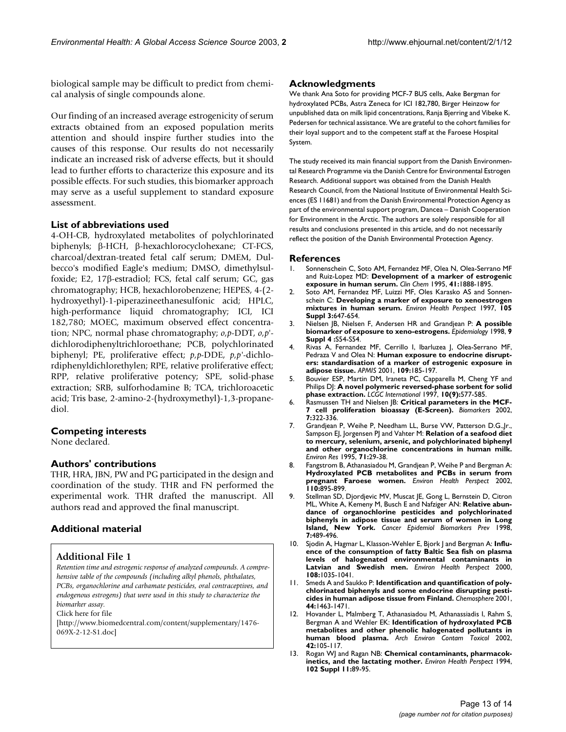biological sample may be difficult to predict from chemical analysis of single compounds alone.

Our finding of an increased average estrogenicity of serum extracts obtained from an exposed population merits attention and should inspire further studies into the causes of this response. Our results do not necessarily indicate an increased risk of adverse effects, but it should lead to further efforts to characterize this exposure and its possible effects. For such studies, this biomarker approach may serve as a useful supplement to standard exposure assessment.

### **List of abbreviations used**

4-OH-CB, hydroxylated metabolites of polychlorinated biphenyls; β-HCH, β-hexachlorocyclohexane; CT-FCS, charcoal/dextran-treated fetal calf serum; DMEM, Dulbecco's modified Eagle's medium; DMSO, dimethylsulfoxide; E2, 17β-estradiol; FCS, fetal calf serum; GC, gas chromatography; HCB, hexachlorobenzene; HEPES, 4-(2 hydroxyethyl)-1-piperazineethanesulfonic acid; HPLC, high-performance liquid chromatography; ICI, ICI 182,780; MOEC, maximum observed effect concentration; NPC, normal phase chromatography; *o,p*-DDT, *o,p*' dichlorodiphenyltrichloroethane; PCB, polychlorinated biphenyl; PE, proliferative effect; *p,p*-DDE, *p,p'*-dichlordiphenyldichlorethylen; RPE, relative proliferative effect; RPP, relative proliferative potency; SPE, solid-phase extraction; SRB, sulforhodamine B; TCA, trichloroacetic acid; Tris base, 2-amino-2-(hydroxymethyl)-1,3-propanediol.

#### **Competing interests**

None declared.

### **Authors' contributions**

THR, HRA, JBN, PW and PG participated in the design and coordination of the study. THR and FN performed the experimental work. THR drafted the manuscript. All authors read and approved the final manuscript.

#### **Additional material**

#### **Additional File 1**

*Retention time and estrogenic response of analyzed compounds. A comprehensive table of the compounds (including alkyl phenols, phthalates, PCBs, organochlorine and carbamate pesticides, oral contraceptives, and endogenous estrogens) that were used in this study to characterize the biomarker assay.*

Click here for file

[\[http://www.biomedcentral.com/content/supplementary/1476-](http://www.biomedcentral.com/content/supplementary/1476-069X-2-12-S1.doc) 069X-2-12-S1.doc]

#### **Acknowledgments**

We thank Ana Soto for providing MCF-7 BUS cells, Aake Bergman for hydroxylated PCBs, Astra Zeneca for ICI 182,780, Birger Heinzow for unpublished data on milk lipid concentrations, Ranja Bjerring and Vibeke K. Pedersen for technical assistance. We are grateful to the cohort families for their loyal support and to the competent staff at the Faroese Hospital System.

The study received its main financial support from the Danish Environmental Research Programme via the Danish Centre for Environmental Estrogen Research. Additional support was obtained from the Danish Health Research Council, from the National Institute of Environmental Health Sciences (ES 11681) and from the Danish Environmental Protection Agency as part of the environmental support program, Dancea – Danish Cooperation for Environment in the Arctic. The authors are solely responsible for all results and conclusions presented in this article, and do not necessarily reflect the position of the Danish Environmental Protection Agency.

#### **References**

- 1. Sonnenschein C, Soto AM, Fernandez MF, Olea N, Olea-Serrano MF and Ruiz-Lopez MD: **[Development of a marker of estrogenic](http://www.ncbi.nlm.nih.gov/entrez/query.fcgi?cmd=Retrieve&db=PubMed&dopt=Abstract&list_uids=7497650) [exposure in human serum.](http://www.ncbi.nlm.nih.gov/entrez/query.fcgi?cmd=Retrieve&db=PubMed&dopt=Abstract&list_uids=7497650)** *Clin Chem* 1995, **41:**1888-1895.
- 2. Soto AM, Fernandez MF, Luizzi MF, Oles Karasko AS and Sonnenschein C: **[Developing a marker of exposure to xenoestrogen](http://www.ncbi.nlm.nih.gov/entrez/query.fcgi?cmd=Retrieve&db=PubMed&dopt=Abstract&list_uids=9168009) [mixtures in human serum.](http://www.ncbi.nlm.nih.gov/entrez/query.fcgi?cmd=Retrieve&db=PubMed&dopt=Abstract&list_uids=9168009)** *Environ Health Perspect* 1997, **105 Suppl 3:**647-654.
- 3. Nielsen JB, Nielsen F, Andersen HR and Grandjean P: **A possible biomarker of exposure to xeno-estrogens.** *Epidemiology* 1998, **9 Suppl 4 :**S54-S54.
- 4. Rivas A, Fernandez MF, Cerrillo I, Ibarluzea J, Olea-Serrano MF, Pedraza V and Olea N: **[Human exposure to endocrine disrupt](http://www.ncbi.nlm.nih.gov/entrez/query.fcgi?cmd=Retrieve&db=PubMed&dopt=Abstract&list_uids=10.1034/j.1600-0463.2001.090302.x)[ers: standardisation of a marker of estrogenic exposure in](http://www.ncbi.nlm.nih.gov/entrez/query.fcgi?cmd=Retrieve&db=PubMed&dopt=Abstract&list_uids=10.1034/j.1600-0463.2001.090302.x) [adipose tissue](http://www.ncbi.nlm.nih.gov/entrez/query.fcgi?cmd=Retrieve&db=PubMed&dopt=Abstract&list_uids=10.1034/j.1600-0463.2001.090302.x)[.](http://www.ncbi.nlm.nih.gov/entrez/query.fcgi?cmd=Retrieve&db=PubMed&dopt=Abstract&list_uids=11430496)** *APMIS* 2001, **109:**185-197.
- 5. Bouvier ESP, Martin DM, Iraneta PC, Capparella M, Cheng YF and Philips DJ: **A novel polymeric reversed-phase sorbent for solid phase extraction.** *LCGC International* 1997, **10(9):**577-585.
- 6. Rasmussen TH and Nielsen JB: **[Critical parameters in the MCF-](http://www.ncbi.nlm.nih.gov/entrez/query.fcgi?cmd=Retrieve&db=PubMed&dopt=Abstract&list_uids=10.1080/13547500210132907)[7 cell proliferation bioassay \(E-Screen\)](http://www.ncbi.nlm.nih.gov/entrez/query.fcgi?cmd=Retrieve&db=PubMed&dopt=Abstract&list_uids=10.1080/13547500210132907)[.](http://www.ncbi.nlm.nih.gov/entrez/query.fcgi?cmd=Retrieve&db=PubMed&dopt=Abstract&list_uids=12171759)** *Biomarkers* 2002, **7:**322-336.
- 7. Grandjean P, Weihe P, Needham LL, Burse VW, Patterson D.G.,Jr., Sampson EJ, Jorgensen PJ and Vahter M: **[Relation of a seafood diet](http://www.ncbi.nlm.nih.gov/entrez/query.fcgi?cmd=Retrieve&db=PubMed&dopt=Abstract&list_uids=10.1006/enrs.1995.1064) [to mercury, selenium, arsenic, and polychlorinated biphenyl](http://www.ncbi.nlm.nih.gov/entrez/query.fcgi?cmd=Retrieve&db=PubMed&dopt=Abstract&list_uids=10.1006/enrs.1995.1064) [and other organochlorine concentrations in human milk](http://www.ncbi.nlm.nih.gov/entrez/query.fcgi?cmd=Retrieve&db=PubMed&dopt=Abstract&list_uids=10.1006/enrs.1995.1064)[.](http://www.ncbi.nlm.nih.gov/entrez/query.fcgi?cmd=Retrieve&db=PubMed&dopt=Abstract&list_uids=8757236)** *Environ Res* 1995, **71:**29-38.
- 8. Fangstrom B, Athanasiadou M, Grandjean P, Weihe P and Bergman A: **[Hydroxylated PCB metabolites and PCBs in serum from](http://www.ncbi.nlm.nih.gov/entrez/query.fcgi?cmd=Retrieve&db=PubMed&dopt=Abstract&list_uids=12204824) [pregnant Faroese women.](http://www.ncbi.nlm.nih.gov/entrez/query.fcgi?cmd=Retrieve&db=PubMed&dopt=Abstract&list_uids=12204824)** *Environ Health Perspect* 2002, **110:**895-899.
- 9. Stellman SD, Djordjevic MV, Muscat JE, Gong L, Bernstein D, Citron ML, White A, Kemeny M, Busch E and Nafziger AN: **[Relative abun](http://www.ncbi.nlm.nih.gov/entrez/query.fcgi?cmd=Retrieve&db=PubMed&dopt=Abstract&list_uids=9641493)dance of organochlorine pesticides and polychlorinated [biphenyls in adipose tissue and serum of women in Long](http://www.ncbi.nlm.nih.gov/entrez/query.fcgi?cmd=Retrieve&db=PubMed&dopt=Abstract&list_uids=9641493) [Island, New York.](http://www.ncbi.nlm.nih.gov/entrez/query.fcgi?cmd=Retrieve&db=PubMed&dopt=Abstract&list_uids=9641493)** *Cancer Epidemiol Biomarkers Prev* 1998, **7:**489-496.
- 10. Sjodin A, Hagmar L, Klasson-Wehler E, Bjork J and Bergman A: **[Influ](http://www.ncbi.nlm.nih.gov/entrez/query.fcgi?cmd=Retrieve&db=PubMed&dopt=Abstract&list_uids=11102293)[ence of the consumption of fatty Baltic Sea fish on plasma](http://www.ncbi.nlm.nih.gov/entrez/query.fcgi?cmd=Retrieve&db=PubMed&dopt=Abstract&list_uids=11102293) levels of halogenated environmental contaminants in [Latvian and Swedish men.](http://www.ncbi.nlm.nih.gov/entrez/query.fcgi?cmd=Retrieve&db=PubMed&dopt=Abstract&list_uids=11102293)** *Environ Health Perspect* 2000, **108:**1035-1041.
- 11. Smeds A and Saukko P: **[Identification and quantification of poly](http://www.ncbi.nlm.nih.gov/entrez/query.fcgi?cmd=Retrieve&db=PubMed&dopt=Abstract&list_uids=10.1016/S0045-6535(00)00313-1)[chlorinated biphenyls and some endocrine disrupting pesti](http://www.ncbi.nlm.nih.gov/entrez/query.fcgi?cmd=Retrieve&db=PubMed&dopt=Abstract&list_uids=10.1016/S0045-6535(00)00313-1)[cides in human adipose tissue from Finland](http://www.ncbi.nlm.nih.gov/entrez/query.fcgi?cmd=Retrieve&db=PubMed&dopt=Abstract&list_uids=10.1016/S0045-6535(00)00313-1)[.](http://www.ncbi.nlm.nih.gov/entrez/query.fcgi?cmd=Retrieve&db=PubMed&dopt=Abstract&list_uids=11513126)** *Chemosphere* 2001, **44:**1463-1471.
- 12. Hovander L, Malmberg T, Athanasiadou M, Athanassiadis I, Rahm S, Bergman A and Wehler EK: **[Identification of hydroxylated PCB](http://www.ncbi.nlm.nih.gov/entrez/query.fcgi?cmd=Retrieve&db=PubMed&dopt=Abstract&list_uids=10.1007/s002440010298) [metabolites and other phenolic halogenated pollutants in](http://www.ncbi.nlm.nih.gov/entrez/query.fcgi?cmd=Retrieve&db=PubMed&dopt=Abstract&list_uids=10.1007/s002440010298) [human blood plasma](http://www.ncbi.nlm.nih.gov/entrez/query.fcgi?cmd=Retrieve&db=PubMed&dopt=Abstract&list_uids=10.1007/s002440010298)[.](http://www.ncbi.nlm.nih.gov/entrez/query.fcgi?cmd=Retrieve&db=PubMed&dopt=Abstract&list_uids=11706375)** *Arch Environ Contam Toxicol* 2002, **42:**105-117.
- 13. Rogan WJ and Ragan NB: **[Chemical contaminants, pharmacok](http://www.ncbi.nlm.nih.gov/entrez/query.fcgi?cmd=Retrieve&db=PubMed&dopt=Abstract&list_uids=7737048)[inetics, and the lactating mother.](http://www.ncbi.nlm.nih.gov/entrez/query.fcgi?cmd=Retrieve&db=PubMed&dopt=Abstract&list_uids=7737048)** *Environ Health Perspect* 1994, **102 Suppl 11:**89-95.